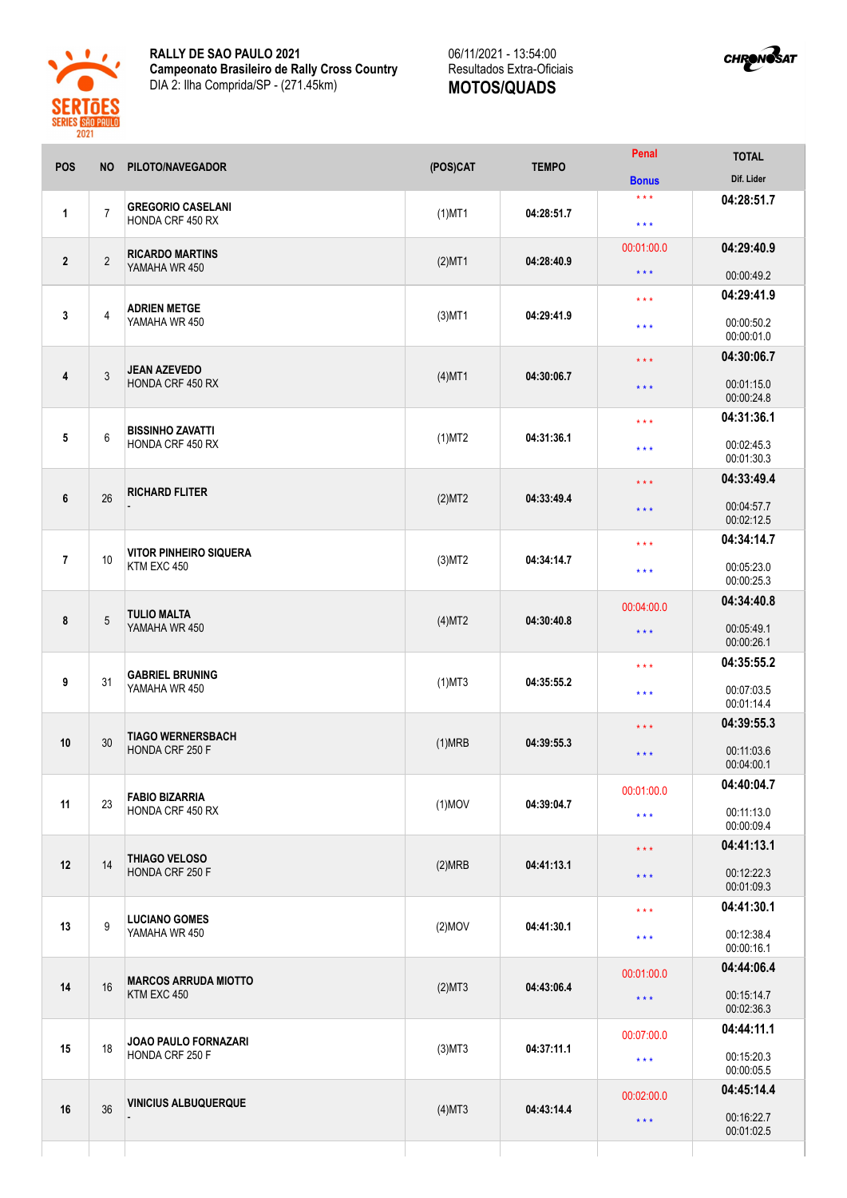

**RALLY DE SAO PAULO 2021 Campeonato Brasileiro de Rally Cross Country** DIA 2: Ilha Comprida/SP - (271.45km)



| POS            | <b>NO</b>      | PILOTO/NAVEGADOR                             | (POS)CAT  | <b>TEMPO</b> | Penal                                              | <b>TOTAL</b>                           |
|----------------|----------------|----------------------------------------------|-----------|--------------|----------------------------------------------------|----------------------------------------|
|                |                |                                              |           |              | <b>Bonus</b>                                       | Dif. Lider                             |
| 1              | $\overline{7}$ | <b>GREGORIO CASELANI</b><br>HONDA CRF 450 RX | $(1)$ MT1 | 04:28:51.7   | $***$<br>$\star$ $\star$ $\star$                   | 04:28:51.7                             |
| $\mathbf{2}$   | $\sqrt{2}$     | <b>RICARDO MARTINS</b><br>YAMAHA WR 450      | $(2)$ MT1 | 04:28:40.9   | 00:01:00.0                                         | 04:29:40.9                             |
|                |                |                                              |           |              | $\star$ $\star$ $\star$                            | 00:00:49.2                             |
| 3              | 4              | <b>ADRIEN METGE</b><br>YAMAHA WR 450         | $(3)$ MT1 | 04:29:41.9   | $\star$ $\star$ $\star$<br>$\star$ $\star$ $\star$ | 04:29:41.9<br>00:00:50.2<br>00:00:01.0 |
|                |                |                                              |           |              |                                                    | 04:30:06.7                             |
| 4              | 3              | <b>JEAN AZEVEDO</b><br>HONDA CRF 450 RX      | $(4)$ MT1 | 04:30:06.7   | $\star$ $\star$ $\star$<br>$\star$ $\star$ $\star$ | 00:01:15.0<br>00:00:24.8               |
|                |                |                                              |           | 04:31:36.1   | $***$                                              | 04:31:36.1                             |
| 5              | 6              | <b>BISSINHO ZAVATTI</b><br>HONDA CRF 450 RX  | $(1)$ MT2 |              | $\star$ $\star$ $\star$                            | 00:02:45.3<br>00:01:30.3               |
|                |                |                                              |           |              | $\star$ $\star$ $\star$                            | 04:33:49.4                             |
| 6              | 26             | <b>RICHARD FLITER</b>                        | (2)MT2    | 04:33:49.4   | $\star$ $\star$ $\star$                            | 00:04:57.7<br>00:02:12.5               |
|                |                |                                              |           |              | $\star$ $\star$ $\star$                            | 04:34:14.7                             |
| $\overline{7}$ | 10             | <b>VITOR PINHEIRO SIQUERA</b><br>KTM EXC 450 | $(3)$ MT2 | 04:34:14.7   | $\star$ $\star$ $\star$                            | 00:05:23.0<br>00:00:25.3               |
|                |                | <b>TULIO MALTA</b><br>YAMAHA WR 450          | (4)MT2    |              | 00:04:00.0                                         | 04:34:40.8                             |
| 8              | $\sqrt{5}$     |                                              |           | 04:30:40.8   | $\star$ $\star$ $\star$                            | 00:05:49.1<br>00:00:26.1               |
|                |                |                                              |           |              | $\star$ $\star$ $\star$                            | 04:35:55.2                             |
| 9              | 31             | <b>GABRIEL BRUNING</b><br>YAMAHA WR 450      | $(1)$ MT3 | 04:35:55.2   | $***$                                              | 00:07:03.5<br>00:01:14.4               |
|                |                |                                              |           |              | $\star$ $\star$ $\star$                            | 04:39:55.3                             |
| 10             | 30             | <b>TIAGO WERNERSBACH</b><br>HONDA CRF 250 F  | (1)MRB    | 04:39:55.3   | $\star$ $\star$ $\star$                            | 00:11:03.6<br>00:04:00.1               |
|                |                |                                              |           |              | 00:01:00.0                                         | 04:40:04.7                             |
| 11             | 23             | <b>FABIO BIZARRIA</b><br>HONDA CRF 450 RX    | $(1)$ MOV | 04:39:04.7   | $\star$ $\star$ $\star$                            | 00:11:13.0<br>00:00:09.4               |
|                |                | THIAGO VELOSO                                |           |              | $\star\star\star$                                  | 04:41:13.1                             |
| 12             | 14             | HONDA CRF 250 F                              | (2)MRB    | 04:41:13.1   | $\star$ $\star$ $\star$                            | 00:12:22.3<br>00:01:09.3               |
|                |                | <b>LUCIANO GOMES</b>                         |           | 04:41:30.1   | $\star$ $\star$ $\star$                            | 04:41:30.1                             |
| 13             | 9              | YAMAHA WR 450                                | $(2)$ MOV |              | $\star$ $\star$ $\star$                            | 00:12:38.4<br>00:00:16.1               |
|                | 16             | <b>MARCOS ARRUDA MIOTTO</b><br>KTM EXC 450   | (2)MT3    | 04:43:06.4   | 00:01:00.0                                         | 04:44:06.4                             |
| 14             |                |                                              |           |              | $\star$ $\star$ $\star$                            | 00:15:14.7<br>00:02:36.3               |
|                |                |                                              |           |              | 00:07:00.0                                         | 04:44:11.1                             |
| 15             | 18             | JOAO PAULO FORNAZARI<br>HONDA CRF 250 F      | $(3)$ MT3 | 04:37:11.1   | $\star$ $\star$ $\star$                            | 00:15:20.3<br>00:00:05.5               |
|                |                |                                              | $(4)$ MT3 | 04:43:14.4   | 00:02:00.0                                         | 04:45:14.4                             |
| 16             | 36             | <b>VINICIUS ALBUQUERQUE</b>                  |           |              | $\star$ $\star$ $\star$                            | 00:16:22.7<br>00:01:02.5               |
|                |                |                                              |           |              |                                                    |                                        |